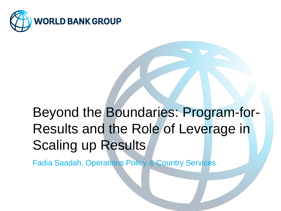

# Beyond the Boundaries: Program-for-Results and the Role of Leverage in Scaling up Results

Fadia Saadah, Operations Policy & Country Services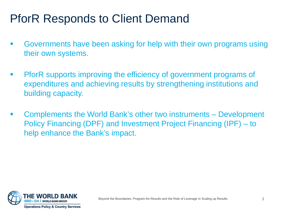# PforR Responds to Client Demand

- Governments have been asking for help with their own programs using their own systems.
- PforR supports improving the efficiency of government programs of expenditures and achieving results by strengthening institutions and building capacity.
- Complements the World Bank's other two instruments Development Policy Financing (DPF) and Investment Project Financing (IPF) – to help enhance the Bank's impact.

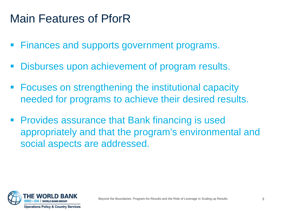## Main Features of PforR

- **Finances and supports government programs.**
- Disburses upon achievement of program results.
- Focuses on strengthening the institutional capacity needed for programs to achieve their desired results.
- **Provides assurance that Bank financing is used** appropriately and that the program's environmental and social aspects are addressed.

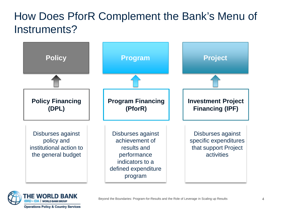## How Does PforR Complement the Bank's Menu of Instruments?



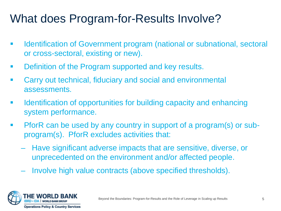## What does Program-for-Results Involve?

- Identification of Government program (national or subnational, sectoral or cross-sectoral, existing or new).
- **Definition of the Program supported and key results.**
- Carry out technical, fiduciary and social and environmental assessments.
- **If all identification of opportunities for building capacity and enhancing** system performance.
- PforR can be used by any country in support of a program(s) or subprogram(s). PforR excludes activities that:
	- Have significant adverse impacts that are sensitive, diverse, or unprecedented on the environment and/or affected people.
	- Involve high value contracts (above specified thresholds).

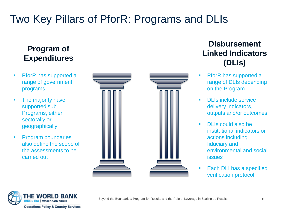## Two Key Pillars of PforR: Programs and DLIs

### **Program of Expenditures**

- **PforR has supported a** range of government programs
- The majority have supported sub Programs, either sectorally or geographically
- **Program boundaries** also define the scope of the assessments to be carried out



### **Disbursement Linked Indicators (DLIs)**

- **PforR has supported a** range of DLIs depending on the Program
- DLIs include service delivery indicators, outputs and/or outcomes
- DLIs could also be institutional indicators or actions including fiduciary and environmental and social issues
- Each DLI has a specified verification protocol

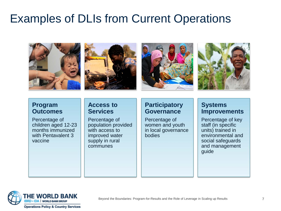## Examples of DLIs from Current Operations









#### **Program Outcomes**

Percentage of children aged 12-23 months immunized with Pentavalent 3 vaccine

#### **Access to Services**

Percentage of population provided with access to improved water supply in rural communes

### **Participatory Governance**

Percentage of women and youth in local governance bodies

### **Systems Improvements**

Percentage of key staff (in specific units) trained in environmental and social safeguards and management guide

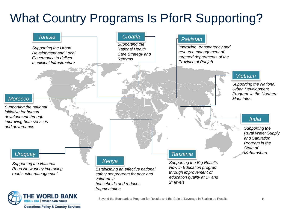# What Country Programs Is PforR Supporting?



**Operations Policy & Country Services**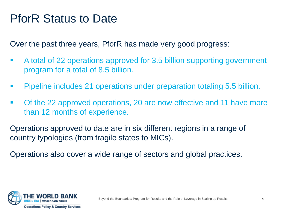## PforR Status to Date

Over the past three years, PforR has made very good progress:

- A total of 22 operations approved for 3.5 billion supporting government program for a total of 8.5 billion.
- **Pipeline includes 21 operations under preparation totaling 5.5 billion.**
- Of the 22 approved operations, 20 are now effective and 11 have more than 12 months of experience.

Operations approved to date are in six different regions in a range of country typologies (from fragile states to MICs).

Operations also cover a wide range of sectors and global practices.

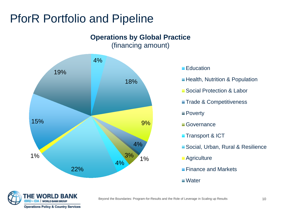## PforR Portfolio and Pipeline



#### **Education**

- **Health, Nutrition & Population**
- **Social Protection & Labor**
- **Trade & Competitiveness**
- **Poverty**
- **Governance**
- **Transport & ICT**
- Social, Urban, Rural & Resilience
- **Agriculture**
- **Finance and Markets**
- **Nater**

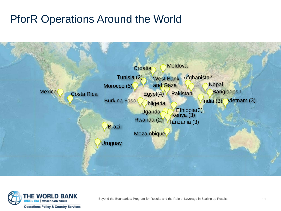## PforR Operations Around the World



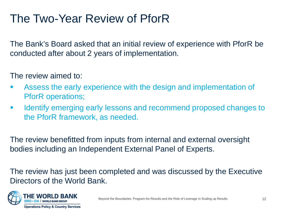## The Two-Year Review of PforR

The Bank's Board asked that an initial review of experience with PforR be conducted after about 2 years of implementation.

The review aimed to:

- Assess the early experience with the design and implementation of PforR operations;
- **IDENTIFY EMALGE ATTS IS A LIGAN EXAM IDENTIFY EXAM ISLAN EXAM ISLAN EXAMPLE FOR EXAMPLE FIG.** IS an extending to the PforR framework, as needed.

The review benefitted from inputs from internal and external oversight bodies including an Independent External Panel of Experts.

The review has just been completed and was discussed by the Executive Directors of the World Bank.

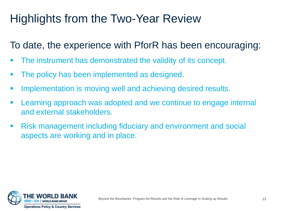# Highlights from the Two-Year Review

## To date, the experience with PforR has been encouraging:

- The instrument has demonstrated the validity of its concept.
- The policy has been implemented as designed.
- **Implementation is moving well and achieving desired results.**
- Learning approach was adopted and we continue to engage internal and external stakeholders.
- Risk management including fiduciary and environment and social aspects are working and in place.

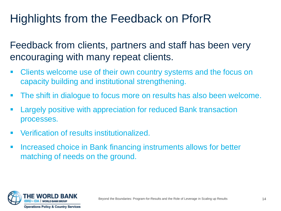# Highlights from the Feedback on PforR

Feedback from clients, partners and staff has been very encouraging with many repeat clients.

- **EXTEND EXE** Clients welcome use of their own country systems and the focus on capacity building and institutional strengthening.
- The shift in dialogue to focus more on results has also been welcome.
- Largely positive with appreciation for reduced Bank transaction processes.
- **Verification of results institutionalized.**
- **Increased choice in Bank financing instruments allows for better** matching of needs on the ground.

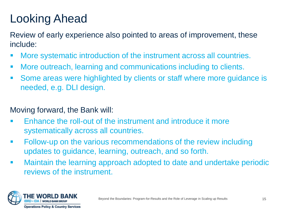# Looking Ahead

Review of early experience also pointed to areas of improvement, these include:

- More systematic introduction of the instrument across all countries.
- More outreach, learning and communications including to clients.
- Some areas were highlighted by clients or staff where more guidance is needed, e.g. DLI design.

### Moving forward, the Bank will:

- Enhance the roll-out of the instrument and introduce it more systematically across all countries.
- Follow-up on the various recommendations of the review including updates to guidance, learning, outreach, and so forth.
- Maintain the learning approach adopted to date and undertake periodic reviews of the instrument.